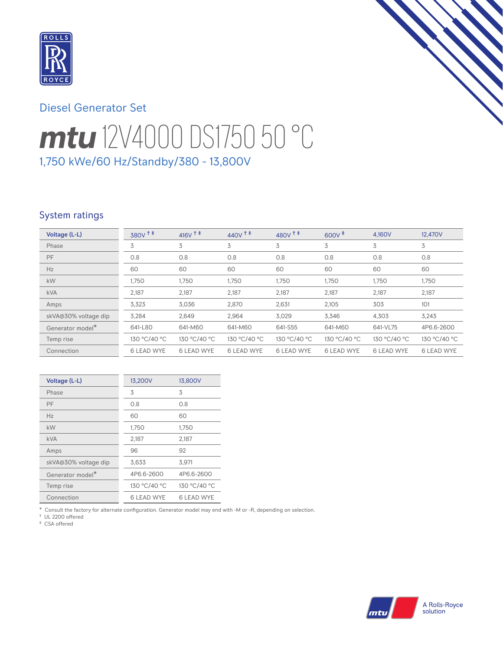

# Diesel Generator Set

# *mtu* 12V4000 DS1750 50 °C 1,750 kWe/60 Hz/Standby/380 - 13,800V

## System ratings

| Voltage (L-L)                | 380V <sup>+</sup> | $416V$ <sup>++</sup> | $440V$ <sup>++</sup> | 480V <sup>++</sup> | $600V^{\ddagger}$ | 4,160V            | 12,470V           |
|------------------------------|-------------------|----------------------|----------------------|--------------------|-------------------|-------------------|-------------------|
| Phase                        | 3                 | 3                    | 3                    | 3                  | 3                 | 3                 | 3                 |
| <b>PF</b>                    | 0.8               | 0.8                  | 0.8                  | 0.8                | 0.8               | 0.8               | 0.8               |
| Hz                           | 60                | 60                   | 60                   | 60                 | 60                | 60                | 60                |
| kW                           | 1,750             | 1,750                | 1,750                | 1,750              | 1,750             | 1,750             | 1,750             |
| <b>kVA</b>                   | 2,187             | 2,187                | 2,187                | 2,187              | 2,187             | 2,187             | 2,187             |
| Amps                         | 3,323             | 3,036                | 2,870                | 2,631              | 2,105             | 303               | 101               |
| skVA@30% voltage dip         | 3,284             | 2,649                | 2,964                | 3,029              | 3,346             | 4,303             | 3,243             |
| Generator model <sup>*</sup> | 641-L80           | 641-M60              | 641-M60              | 641-S55            | 641-M60           | 641-VL75          | 4P6.6-2600        |
| Temp rise                    | 130 °C/40 °C      | 130 °C/40 °C         | 130 °C/40 °C         | 130 °C/40 °C       | 130 °C/40 °C      | 130 °C/40 °C      | 130 °C/40 °C      |
| Connection                   | <b>6 LEAD WYE</b> | <b>6 LEAD WYE</b>    | <b>6 LEAD WYE</b>    | <b>6 LEAD WYE</b>  | <b>6 LEAD WYE</b> | <b>6 LEAD WYE</b> | <b>6 LEAD WYE</b> |

| Voltage (L-L)        | 13,200V           | 13,800V      |
|----------------------|-------------------|--------------|
| Phase                | 3                 | 3            |
| PF                   | 0.8               | 0.8          |
| Hz                   | 60                | 60           |
| kW                   | 1,750             | 1,750        |
| <b>kVA</b>           | 2,187             | 2,187        |
| Amps                 | 96                | 92           |
| skVA@30% voltage dip | 3,633             | 3,971        |
| Generator model*     | 4P6.6-2600        | 4P6.6-2600   |
| Temp rise            | 130 °C/40 °C      | 130 °C/40 °C |
| Connection           | <b>6 LEAD WYE</b> | 6 LEAD WYE   |

\* Consult the factory for alternate configuration. Generator model may end with -M or -R, depending on selection.

† UL 2200 offered ‡ CSA offered

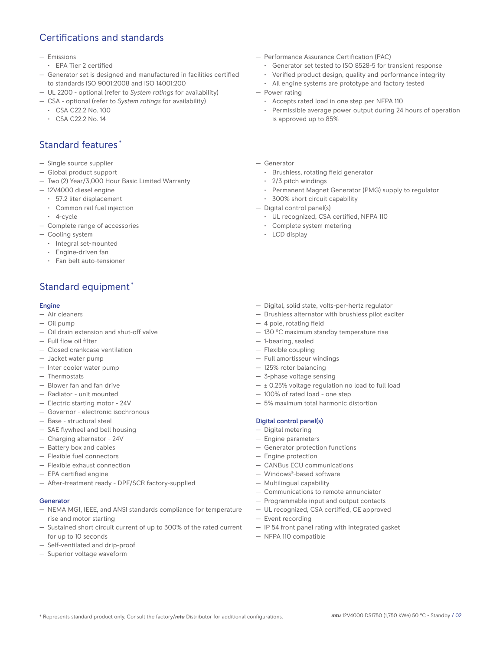## Certifications and standards

#### — Emissions

- EPA Tier 2 certified
- Generator set is designed and manufactured in facilities certified to standards ISO 9001:2008 and ISO 14001:200
- UL 2200 optional (refer to *System ratings* for availability)
- CSA optional (refer to *System ratings* for availability)
	- CSA C22.2 No. 100
	- CSA C22.2 No. 14

## Standard features \*

- Single source supplier
- Global product support
- Two (2) Year/3,000 Hour Basic Limited Warranty
- 12V4000 diesel engine
	- 57.2 liter displacement
	- Common rail fuel injection
- 4-cycle
- Complete range of accessories
- Cooling system
	- Integral set-mounted
	- Engine-driven fan
	- Fan belt auto-tensioner

# Standard equipment \*

#### Engine

- Air cleaners
- Oil pump
- Oil drain extension and shut-off valve
- Full flow oil filter
- Closed crankcase ventilation
- Jacket water pump
- Inter cooler water pump
- Thermostats
- Blower fan and fan drive
- Radiator unit mounted
- Electric starting motor 24V
- Governor electronic isochronous
- Base structural steel
- SAE flywheel and bell housing
- Charging alternator 24V
- Battery box and cables
- Flexible fuel connectors
- Flexible exhaust connection
- EPA certified engine
- After-treatment ready DPF/SCR factory-supplied

#### **Generator**

- NEMA MG1, IEEE, and ANSI standards compliance for temperature rise and motor starting
- Sustained short circuit current of up to 300% of the rated current for up to 10 seconds
- Self-ventilated and drip-proof
- Superior voltage waveform
- Performance Assurance Certification (PAC)
	- Generator set tested to ISO 8528-5 for transient response
	- Verified product design, quality and performance integrity
	- All engine systems are prototype and factory tested
- Power rating
	- Accepts rated load in one step per NFPA 110
	- Permissible average power output during 24 hours of operation is approved up to 85%
- Generator
	- Brushless, rotating field generator
	- 2/3 pitch windings
	- Permanent Magnet Generator (PMG) supply to regulator
- 300% short circuit capability
- Digital control panel(s)
	- UL recognized, CSA certified, NFPA 110
	- Complete system metering
	- LCD display
- Digital, solid state, volts-per-hertz regulator
- Brushless alternator with brushless pilot exciter
- 4 pole, rotating field
- 130 °C maximum standby temperature rise
- 1-bearing, sealed
- Flexible coupling
- Full amortisseur windings
- 125% rotor balancing
- 3-phase voltage sensing
- $\pm$  0.25% voltage regulation no load to full load
- 100% of rated load one step
- 5% maximum total harmonic distortion

#### Digital control panel(s)

- Digital metering
- Engine parameters
- Generator protection functions
- Engine protection
- CANBus ECU communications
- Windows®-based software
- Multilingual capability
- Communications to remote annunciator
- Programmable input and output contacts
- UL recognized, CSA certified, CE approved
- Event recording
- IP 54 front panel rating with integrated gasket
- NFPA 110 compatible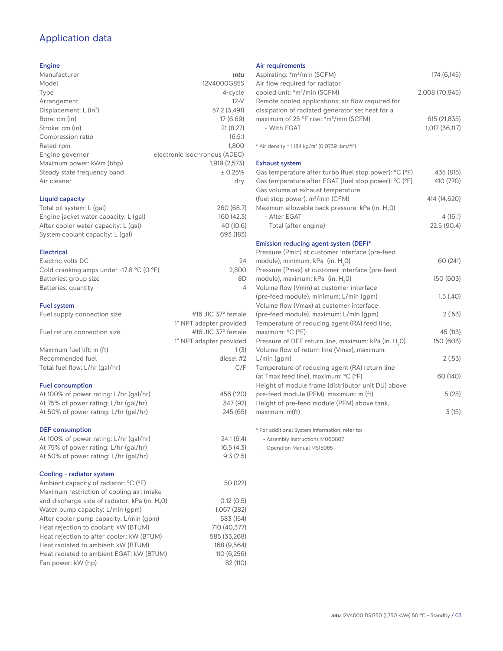## Application data

#### Engine

| Manufacturer                       | mtu                           |
|------------------------------------|-------------------------------|
| Model                              | 12V4000G85S                   |
| Type                               | 4-cycle                       |
| Arrangement                        | $12-V$                        |
| Displacement: L (in <sup>3</sup> ) | 57.2 (3,491)                  |
| Bore: cm (in)                      | 17(6.69)                      |
| Stroke: cm (in)                    | 21(8.27)                      |
| Compression ratio                  | 16.5:1                        |
| Rated rpm                          | 1.800                         |
| Engine governor                    | electronic isochronous (ADEC) |
| Maximum power: kWm (bhp)           | 1,919 (2,573)                 |
| Steady state frequency band        | $± 0.25\%$                    |
| Air cleaner                        | dry                           |
| Liquid capacity                    |                               |
| Total oil system: L (gal)          | 260 (68.7)                    |
| $Enaino inelot water capacitorl$   | 160(12)                       |

| Engine jacket water capacity: L (gal) | 160 (42.3) |
|---------------------------------------|------------|
| After cooler water capacity: L (gal)  | 40 (10.6)  |
| System coolant capacity: L (gal)      | 693 (183)  |
|                                       |            |

#### Electrical

| Electric volts DC                                            | 24    |
|--------------------------------------------------------------|-------|
| Cold cranking amps under -17.8 $^{\circ}$ C (O $^{\circ}$ F) | 2.800 |
| Batteries: group size                                        | 8D    |
| Batteries: quantity                                          |       |
|                                                              |       |

#### Fuel system

| $1$ ust ayatem                 |                                 |
|--------------------------------|---------------------------------|
| Fuel supply connection size    | #16 JIC $37^\circ$ female       |
|                                | 1" NPT adapter provided         |
| Fuel return connection size    | $\#$ 16 JIC 37 $\degree$ female |
|                                | 1" NPT adapter provided         |
| Maximum fuel lift: m (ft)      | 1(3)                            |
| Recommended fuel               | diesel #2                       |
| Total fuel flow: L/hr (gal/hr) | C/F                             |
|                                |                                 |

#### Fuel consumption

| At 100% of power rating: L/hr (gal/hr) |  |
|----------------------------------------|--|
| At 75% of power rating: L/hr (gal/hr)  |  |
| At 50% of power rating: L/hr (gal/hr)  |  |
|                                        |  |

#### DEF consumption

| At 100% of power rating: L/hr (gal/hr)                     | 24.1(6.4)    |
|------------------------------------------------------------|--------------|
| At 75% of power rating: L/hr (gal/hr)                      | 16.5(4.3)    |
| At 50% of power rating: L/hr (gal/hr)                      | 9.3(2.5)     |
|                                                            |              |
| Cooling - radiator system                                  |              |
| Ambient capacity of radiator: °C (°F)                      | 50 (122)     |
| Maximum restriction of cooling air: intake                 |              |
| and discharge side of radiator: kPa (in. H <sub>2</sub> O) | 0.12(0.5)    |
| Water pump capacity: L/min (qpm)                           | 1.067 (282)  |
| After cooler pump capacity: L/min (gpm)                    | 583 (154)    |
| Heat rejection to coolant: kW (BTUM)                       | 710 (40.377) |
| Heat rejection to after cooler: kW (BTUM)                  | 585 (33,268) |
| Heat radiated to ambient: kW (BTUM)                        | 168 (9.564)  |
| Heat radiated to ambient EGAT: kW (BTUM)                   | 110 (6,256)  |
| Fan power: kW (hp)                                         | 82 (110)     |

#### Air requirements

| Aspirating: *m <sup>3</sup> /min (SCFM)                                                               | 174 (6,145)           |
|-------------------------------------------------------------------------------------------------------|-----------------------|
| Air flow required for radiator<br>cooled unit: *m <sup>3</sup> /min (SCFM)                            | 2,008 (70,945)        |
| Remote cooled applications; air flow required for<br>dissipation of radiated generator set heat for a |                       |
| maximum of 25 °F rise: *m <sup>3</sup> /min (SCFM)                                                    | 615 (21,835)          |
| - With EGAT                                                                                           | 1,017 (36,117)        |
| * Air density = 1.184 kg/m <sup>3</sup> (0.0739 lbm/ft <sup>3</sup> )                                 |                       |
| <b>Exhaust system</b>                                                                                 |                       |
| Gas temperature after turbo (fuel stop power): °C (°F)                                                | 435 (815)             |
| Gas temperature after EGAT (fuel stop power): °C (°F)                                                 | 410 (770)             |
| Gas volume at exhaust temperature                                                                     |                       |
| (fuel stop power): m <sup>3</sup> /min (CFM)                                                          | 414 (14,620)          |
| Maximum allowable back pressure: kPa (in. H <sub>2</sub> 0)                                           |                       |
| - After EGAT<br>- Total (after engine)                                                                | 4(16.1)<br>22.5(90.4) |
|                                                                                                       |                       |
| Emission reducing agent system (DEF)*                                                                 |                       |
| Pressure (Pmin) at customer interface (pre-feed                                                       |                       |
| module), minimum: kPa (in. H <sub>2</sub> O)                                                          | 60 (241)              |
| Pressure (Pmax) at customer interface (pre-feed                                                       |                       |
| module), maximum: kPa (in. H <sub>2</sub> 0)                                                          | 150 (603)             |
| Volume flow (Vmin) at customer interface                                                              |                       |
| (pre-feed module), minimum: L/min (qpm)                                                               | 1.5(40)               |
| Volume flow (Vmax) at customer interface                                                              |                       |
| (pre-feed module), maximum: L/min (gpm)                                                               | 2(.53)                |
| Temperature of reducing agent (RA) feed line,                                                         |                       |
| maximum: °C (°F)                                                                                      | 45 (113)              |
| Pressure of DEF return line, maximum: kPa (in. H <sub>2</sub> O)                                      | 150 (603)             |
| Volume flow of return line (Vmax), maximum:<br>$L/min$ (gpm)                                          | 2(.53)                |
| Temperature of reducing agent (RA) return line                                                        |                       |
| (at Tmax feed line), maximum: °C (°F)                                                                 | 60 (140)              |
| Height of module frame (distributor unit DU) above                                                    |                       |
| pre-feed module (PFM), maximum: m (ft)                                                                | 5(25)                 |
| Height of pre-feed module (PFM) above tank,                                                           |                       |
| maximum: m(ft)                                                                                        | 3(15)                 |
|                                                                                                       |                       |

\* For additional System Information, refer to:

- Assembly Instructions M060807

- Operation Manual MS15065

456 (120) 347 (92) 245 (65)